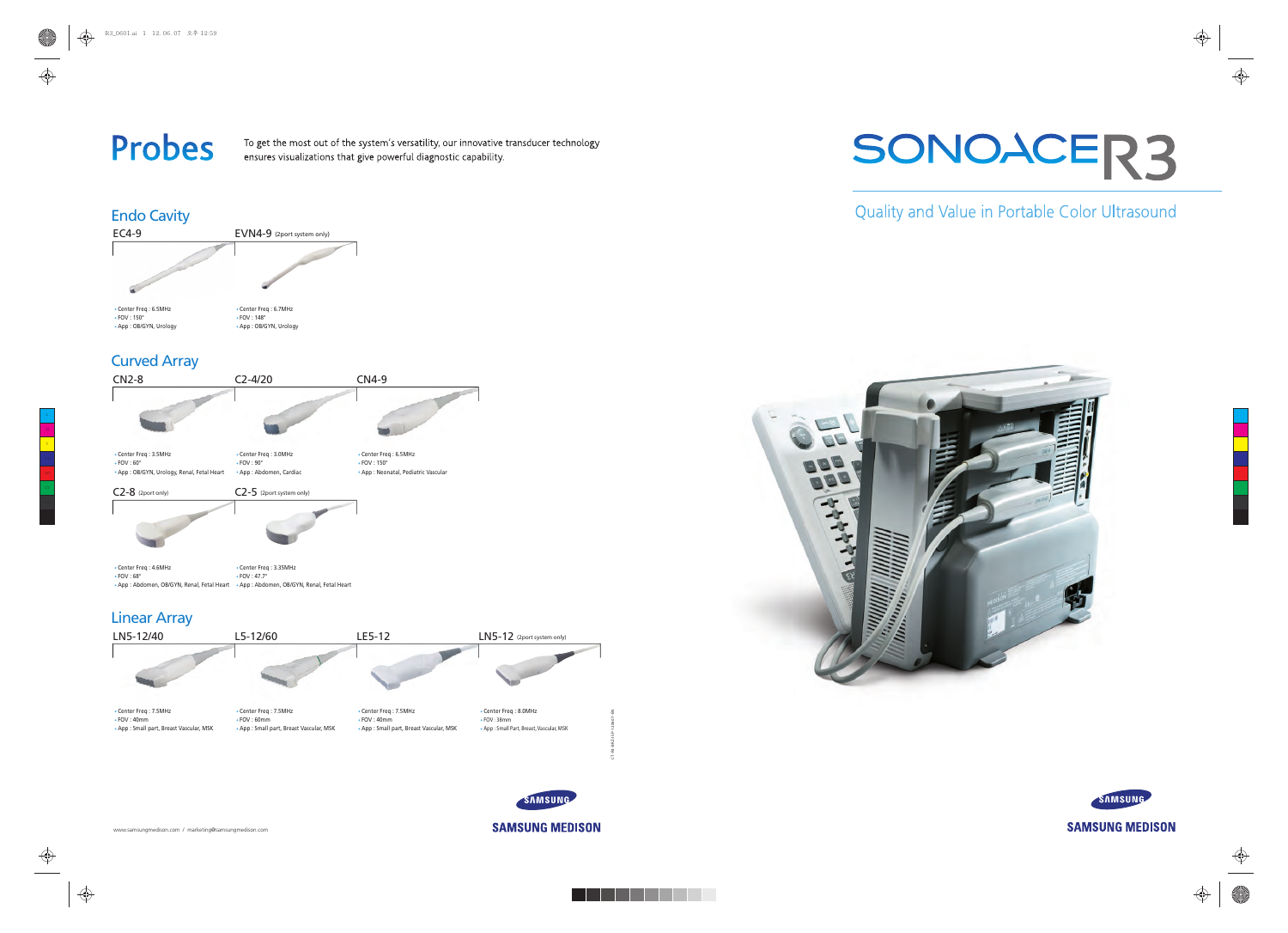www.samsungmedison.com / marketing@samsungmedison.com



# Quality and Value in Portable Color Ultrasound



♦



**SAMSUNG MEDISON** 







## Endo Cavity

### Curved Array



SAMSUNG

# **Probes**

To get the most out of the system's versatility, our innovative transducer technology ensures visualizations that give powerful diagnostic capability.



CT-R3-BRZ-ISP-120607-EN

**SAMSUNG MEDISON** 

Y

 $\bigoplus$ 

⊕

 $\bigoplus$